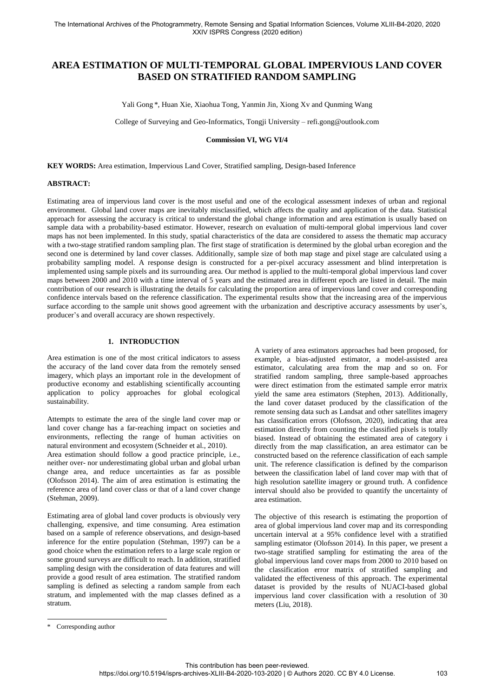# **AREA ESTIMATION OF MULTI-TEMPORAL GLOBAL IMPERVIOUS LAND COVER BASED ON STRATIFIED RANDOM SAMPLING**

Yali Gong \*, Huan Xie, Xiaohua Tong, Yanmin Jin, Xiong Xv and Qunming Wang

College of Surveying and Geo-Informatics, Tongji University – refi.gong@outlook.com

### **Commission VI, WG VI/4**

**KEY WORDS:** Area estimation, Impervious Land Cover, Stratified sampling, Design-based Inference

#### **ABSTRACT:**

Estimating area of impervious land cover is the most useful and one of the ecological assessment indexes of urban and regional environment. Global land cover maps are inevitably misclassified, which affects the quality and application of the data. Statistical approach for assessing the accuracy is critical to understand the global change information and area estimation is usually based on sample data with a probability-based estimator. However, research on evaluation of multi-temporal global impervious land cover maps has not been implemented. In this study, spatial characteristics of the data are considered to assess the thematic map accuracy with a two-stage stratified random sampling plan. The first stage of stratification is determined by the global urban ecoregion and the second one is determined by land cover classes. Additionally, sample size of both map stage and pixel stage are calculated using a probability sampling model. A response design is constructed for a per-pixel accuracy assessment and blind interpretation is implemented using sample pixels and its surrounding area. Our method is applied to the multi-temporal global impervious land cover maps between 2000 and 2010 with a time interval of 5 years and the estimated area in different epoch are listed in detail. The main contribution of our research is illustrating the details for calculating the proportion area of impervious land cover and corresponding confidence intervals based on the reference classification. The experimental results show that the increasing area of the impervious surface according to the sample unit shows good agreement with the urbanization and descriptive accuracy assessments by user's, producer's and overall accuracy are shown respectively.

# **1. INTRODUCTION**

Area estimation is one of the most critical indicators to assess the accuracy of the land cover data from the remotely sensed imagery, which plays an important role in the development of productive economy and establishing scientifically accounting application to policy approaches for global ecological sustainability.

Attempts to estimate the area of the single land cover map or land cover change has a far-reaching impact on societies and environments, reflecting the range of human activities on natural environment and ecosystem (Schneider et al., 2010).

Area estimation should follow a good practice principle, i.e., neither over- nor underestimating global urban and global urban change area, and reduce uncertainties as far as possible (Olofsson 2014). The aim of area estimation is estimating the reference area of land cover class or that of a land cover change (Stehman, 2009).

Estimating area of global land cover products is obviously very challenging, expensive, and time consuming. Area estimation based on a sample of reference observations, and design-based inference for the entire population (Stehman, 1997) can be a good choice when the estimation refers to a large scale region or some ground surveys are difficult to reach. In addition, stratified sampling design with the consideration of data features and will provide a good result of area estimation. The stratified random sampling is defined as selecting a random sample from each stratum, and implemented with the map classes defined as a stratum.

A variety of area estimators approaches had been proposed, for example, a bias-adjusted estimator, a model-assisted area estimator, calculating area from the map and so on. For stratified random sampling, three sample-based approaches were direct estimation from the estimated sample error matrix yield the same area estimators (Stephen, 2013). Additionally, the land cover dataset produced by the classification of the remote sensing data such as Landsat and other satellites imagery has classification errors (Olofsson, 2020), indicating that area estimation directly from counting the classified pixels is totally biased. Instead of obtaining the estimated area of category i directly from the map classification, an area estimator can be constructed based on the reference classification of each sample unit. The reference classification is defined by the comparison between the classification label of land cover map with that of high resolution satellite imagery or ground truth. A confidence interval should also be provided to quantify the uncertainty of area estimation.

The objective of this research is estimating the proportion of area of global impervious land cover map and its corresponding uncertain interval at a 95% confidence level with a stratified sampling estimator (Olofsson 2014). In this paper, we present a two-stage stratified sampling for estimating the area of the global impervious land cover maps from 2000 to 2010 based on the classification error matrix of stratified sampling and validated the effectiveness of this approach. The experimental dataset is provided by the results of NUACI-based global impervious land cover classification with a resolution of 30 meters (Liu, 2018).

 $\overline{a}$ 

<sup>\*</sup> Corresponding author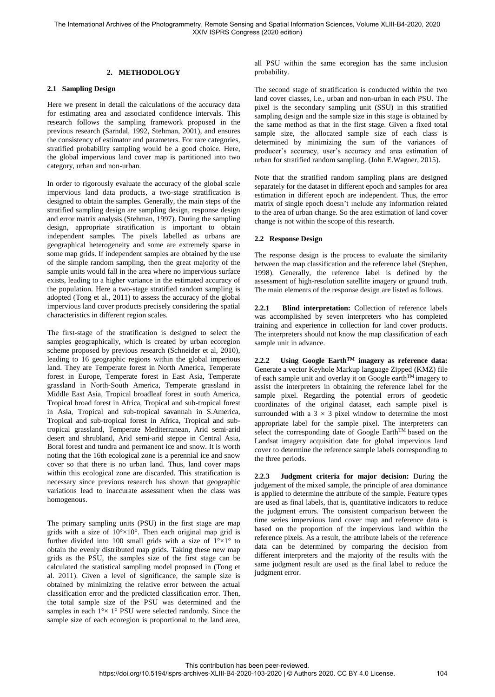# **2. METHODOLOGY**

### **2.1 Sampling Design**

Here we present in detail the calculations of the accuracy data for estimating area and associated confidence intervals. This research follows the sampling framework proposed in the previous research (Sarndal, 1992, Stehman, 2001), and ensures the consistency of estimator and parameters. For rare categories, stratified probability sampling would be a good choice. Here, the global impervious land cover map is partitioned into two category, urban and non-urban.

In order to rigorously evaluate the accuracy of the global scale impervious land data products, a two-stage stratification is designed to obtain the samples. Generally, the main steps of the stratified sampling design are sampling design, response design and error matrix analysis (Stehman, 1997). During the sampling design, appropriate stratification is important to obtain independent samples. The pixels labelled as urbans are geographical heterogeneity and some are extremely sparse in some map grids. If independent samples are obtained by the use of the simple random sampling, then the great majority of the sample units would fall in the area where no impervious surface exists, leading to a higher variance in the estimated accuracy of the population. Here a two-stage stratified random sampling is adopted (Tong et al., 2011) to assess the accuracy of the global impervious land cover products precisely considering the spatial characteristics in different region scales.

The first-stage of the stratification is designed to select the samples geographically, which is created by urban ecoregion scheme proposed by previous research (Schneider et al, 2010), leading to 16 geographic regions within the global imperious land. They are Temperate forest in North America, Temperate forest in Europe, Temperate forest in East Asia, Temperate grassland in North-South America, Temperate grassland in Middle East Asia, Tropical broadleaf forest in south America, Tropical broad forest in Africa, Tropical and sub-tropical forest in Asia, Tropical and sub-tropical savannah in S.America, Tropical and sub-tropical forest in Africa, Tropical and subtropical grassland, Temperate Mediterranean, Arid semi-arid desert and shrubland, Arid semi-arid steppe in Central Asia, Boral forest and tundra and permanent ice and snow. It is worth noting that the 16th ecological zone is a perennial ice and snow cover so that there is no urban land. Thus, land cover maps within this ecological zone are discarded. This stratification is necessary since previous research has shown that geographic variations lead to inaccurate assessment when the class was homogenous.

The primary sampling units (PSU) in the first stage are map grids with a size of  $10^{\circ} \times 10^{\circ}$ . Then each original map grid is further divided into 100 small grids with a size of  $1^{\circ} \times 1^{\circ}$  to obtain the evenly distributed map grids. Taking these new map grids as the PSU, the samples size of the first stage can be calculated the statistical sampling model proposed in (Tong et al. 2011). Given a level of significance, the sample size is obtained by minimizing the relative error between the actual classification error and the predicted classification error. Then, the total sample size of the PSU was determined and the samples in each  $1^{\circ} \times 1^{\circ}$  PSU were selected randomly. Since the sample size of each ecoregion is proportional to the land area,

all PSU within the same ecoregion has the same inclusion probability.

The second stage of stratification is conducted within the two land cover classes, i.e., urban and non-urban in each PSU. The pixel is the secondary sampling unit (SSU) in this stratified sampling design and the sample size in this stage is obtained by the same method as that in the first stage. Given a fixed total sample size, the allocated sample size of each class is determined by minimizing the sum of the variances of producer's accuracy, user's accuracy and area estimation of urban for stratified random sampling. (John E.Wagner, 2015).

Note that the stratified random sampling plans are designed separately for the dataset in different epoch and samples for area estimation in different epoch are independent. Thus, the error matrix of single epoch doesn't include any information related to the area of urban change. So the area estimation of land cover change is not within the scope of this research.

### **2.2 Response Design**

The response design is the process to evaluate the similarity between the map classification and the reference label (Stephen, 1998). Generally, the reference label is defined by the assessment of high-resolution satellite imagery or ground truth. The main elements of the response design are listed as follows.

**2.2.1 Blind interpretation:** Collection of reference labels was accomplished by seven interpreters who has completed training and experience in collection for land cover products. The interpreters should not know the map classification of each sample unit in advance.

**2.2.2 Using Google EarthTM imagery as reference data:** Generate a vector Keyhole Markup language Zipped (KMZ) file of each sample unit and overlay it on Google earthTM imagery to assist the interpreters in obtaining the reference label for the sample pixel. Regarding the potential errors of geodetic coordinates of the original dataset, each sample pixel is surrounded with a  $3 \times 3$  pixel window to determine the most appropriate label for the sample pixel. The interpreters can select the corresponding date of Google Earth<sup>TM</sup> based on the Landsat imagery acquisition date for global impervious land cover to determine the reference sample labels corresponding to the three periods.

**2.2.3 Judgment criteria for major decision:** During the judgement of the mixed sample, the principle of area dominance is applied to determine the attribute of the sample. Feature types are used as final labels, that is, quantitative indicators to reduce the judgment errors. The consistent comparison between the time series impervious land cover map and reference data is based on the proportion of the impervious land within the reference pixels. As a result, the attribute labels of the reference data can be determined by comparing the decision from different interpreters and the majority of the results with the same judgment result are used as the final label to reduce the judgment error.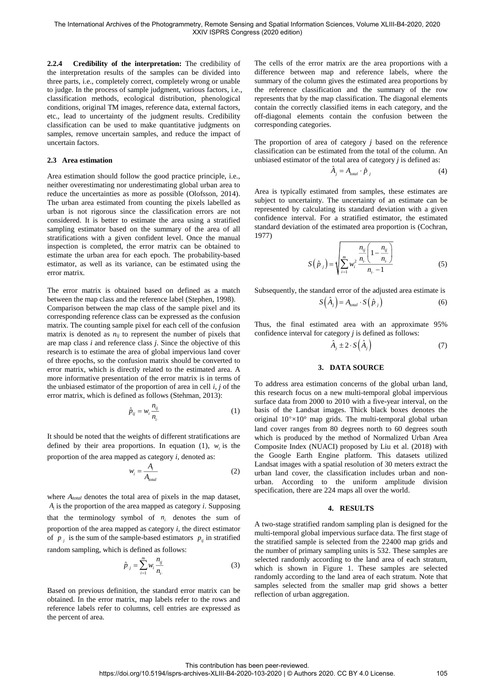**2.2.4 Credibility of the interpretation:** The credibility of the interpretation results of the samples can be divided into three parts, i.e., completely correct, completely wrong or unable to judge. In the process of sample judgment, various factors, i.e., classification methods, ecological distribution, phenological conditions, original TM images, reference data, external factors, etc., lead to uncertainty of the judgment results. Credibility classification can be used to make quantitative judgments on samples, remove uncertain samples, and reduce the impact of uncertain factors.

### **2.3 Area estimation**

Area estimation should follow the good practice principle, i.e., neither overestimating nor underestimating global urban area to reduce the uncertainties as more as possible (Olofsson, 2014). The urban area estimated from counting the pixels labelled as urban is not rigorous since the classification errors are not considered. It is better to estimate the area using a stratified sampling estimator based on the summary of the area of all stratifications with a given confident level. Once the manual inspection is completed, the error matrix can be obtained to estimate the urban area for each epoch. The probability-based estimator, as well as its variance, can be estimated using the error matrix.

The error matrix is obtained based on defined as a match between the map class and the reference label (Stephen, 1998). Comparison between the map class of the sample pixel and its corresponding reference class can be expressed as the confusion matrix. The counting sample pixel for each cell of the confusion matrix is denoted as *nij* to represent the number of pixels that are map class *i* and reference class *j*. Since the objective of this research is to estimate the area of global impervious land cover of three epochs, so the confusion matrix should be converted to error matrix, which is directly related to the estimated area. A more informative presentation of the error matrix is in terms of the unbiased estimator of the proportion of area in cell *i*, *j* of the error matrix, which is defined as follows (Stehman, 2013):

$$
\hat{p}_{ij} = w_i \frac{n_{ij}}{n_i} \tag{1}
$$

It should be noted that the weights of different stratifications are defined by their area proportions. In equation (1),  $w_i$  is the proportion of the area mapped as category *i*, denoted as:

$$
w_i = \frac{A_i}{A_{total}}
$$
 (2)

where *Atotal* denotes the total area of pixels in the map dataset, *Ai* is the proportion of the area mapped as category *i*. Supposing that the terminology symbol of  $n_i$  denotes the sum of proportion of the area mapped as category *i*, the direct estimator of  $p_j$  is the sum of the sample-based estimators  $p_{ij}$  in stratified random sampling, which is defined as follows:

$$
\hat{p}_{.j} = \sum_{i=1}^{m} w_i \frac{n_{ij}}{n_{i.}}
$$
\n(3)

Based on previous definition, the standard error matrix can be obtained. In the error matrix, map labels refer to the rows and reference labels refer to columns, cell entries are expressed as the percent of area.

The cells of the error matrix are the area proportions with a difference between map and reference labels, where the summary of the column gives the estimated area proportions by the reference classification and the summary of the row represents that by the map classification. The diagonal elements contain the correctly classified items in each category, and the off-diagonal elements contain the confusion between the corresponding categories.

The proportion of area of category *j* based on the reference classification can be estimated from the total of the column. An unbiased estimator of the total area of category *j* is defined as:

$$
\hat{A}_j = A_{\text{total}} \cdot \hat{p}_{.j} \tag{4}
$$

Area is typically estimated from samples, these estimates are subject to uncertainty. The uncertainty of an estimate can be represented by calculating its standard deviation with a given confidence interval. For a stratified estimator, the estimated standard deviation of the estimated area proportion is (Cochran, 1977)

$$
S(\hat{p}_{.j}) = \sqrt{\sum_{i=1}^{m} w_i^2 \frac{n_{ij}}{n_{i.}} \left(1 - \frac{n_{ij}}{n_{i.}}\right)}
$$
(5)

Subsequently, the standard error of the adjusted area estimate is  $\sim$   $\sim$   $\sim$ 

$$
S(\hat{A}_j) = A_{total} \cdot S(\hat{p}_{.j})
$$
 (6)

Thus, the final estimated area with an approximate 95% confidence interval for category *j* is defined as follows:

$$
\hat{A}_j \pm 2 \cdot S(\hat{A}_j) \tag{7}
$$

#### **3. DATA SOURCE**

To address area estimation concerns of the global urban land, this research focus on a new multi-temporal global impervious surface data from 2000 to 2010 with a five-year interval, on the basis of the Landsat images. Thick black boxes denotes the original  $10^{\circ} \times 10^{\circ}$  map grids. The multi-temporal global urban land cover ranges from 80 degrees north to 60 degrees south which is produced by the method of Normalized Urban Area Composite Index (NUACI) proposed by Liu et al. (2018) with the Google Earth Engine platform. This datasets utilized Landsat images with a spatial resolution of 30 meters extract the urban land cover, the classification includes urban and nonurban. According to the uniform amplitude division specification, there are 224 maps all over the world.

#### **4. RESULTS**

A two-stage stratified random sampling plan is designed for the multi-temporal global impervious surface data. The first stage of the stratified sample is selected from the 22400 map grids and the number of primary sampling units is 532. These samples are selected randomly according to the land area of each stratum, which is shown in Figure 1. These samples are selected randomly according to the land area of each stratum. Note that samples selected from the smaller map grid shows a better reflection of urban aggregation.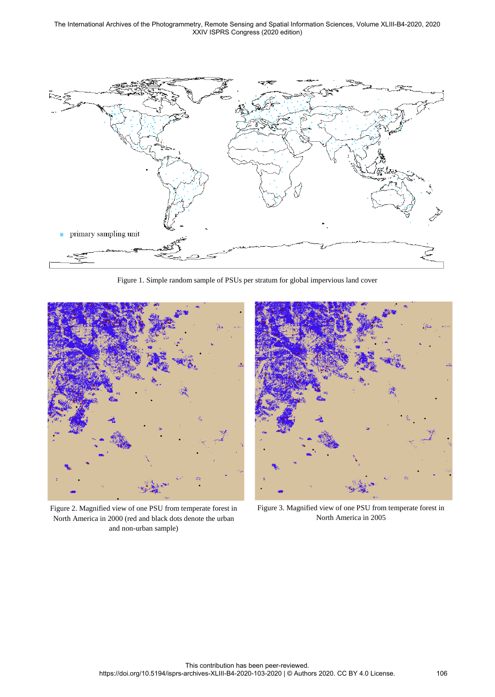The International Archives of the Photogrammetry, Remote Sensing and Spatial Information Sciences, Volume XLIII-B4-2020, 2020 XXIV ISPRS Congress (2020 edition)



Figure 1. Simple random sample of PSUs per stratum for global impervious land cover



Figure 2. Magnified view of one PSU from temperate forest in North America in 2000 (red and black dots denote the urban and non-urban sample)



Figure 3. Magnified view of one PSU from temperate forest in North America in 2005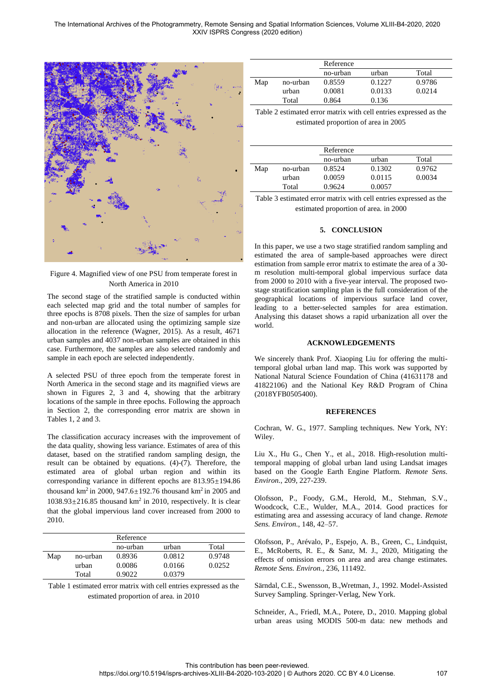The International Archives of the Photogrammetry, Remote Sensing and Spatial Information Sciences, Volume XLIII-B4-2020, 2020 XXIV ISPRS Congress (2020 edition)



# Figure 4. Magnified view of one PSU from temperate forest in North America in 2010

The second stage of the stratified sample is conducted within each selected map grid and the total number of samples for three epochs is 8708 pixels. Then the size of samples for urban and non-urban are allocated using the optimizing sample size allocation in the reference (Wagner, 2015). As a result, 4671 urban samples and 4037 non-urban samples are obtained in this case. Furthermore, the samples are also selected randomly and sample in each epoch are selected independently.

A selected PSU of three epoch from the temperate forest in North America in the second stage and its magnified views are shown in Figures 2, 3 and 4, showing that the arbitrary locations of the sample in three epochs. Following the approach in Section 2, the corresponding error matrix are shown in Tables 1, 2 and 3.

The classification accuracy increases with the improvement of the data quality, showing less variance. Estimates of area of this dataset, based on the stratified random sampling design, the result can be obtained by equations. (4)-(7). Therefore, the estimated area of global urban region and within its corresponding variance in different epochs are 813.95±194.86 thousand km<sup>2</sup> in 2000, 947.6 $\pm$ 192.76 thousand km<sup>2</sup> in 2005 and  $1038.93 \pm 216.85$  thousand km<sup>2</sup> in 2010, respectively. It is clear that the global impervious land cover increased from 2000 to 2010.

|     |          | Reference |        |        |
|-----|----------|-----------|--------|--------|
|     |          | no-urban  | urban  | Total  |
| Map | no-urban | 0.8936    | 0.0812 | 0.9748 |
|     | urban    | 0.0086    | 0.0166 | 0.0252 |
|     | Total    | 0.9022    | 0.0379 |        |

Table 1 estimated error matrix with cell entries expressed as the estimated proportion of area. in 2010

|     |          | Reference |        |        |
|-----|----------|-----------|--------|--------|
|     |          | no-urban  | urban  | Total  |
| Map | no-urban | 0.8559    | 0.1227 | 0.9786 |
|     | urban    | 0.0081    | 0.0133 | 0.0214 |
|     | Total    | 0.864     | 0.136  |        |

Table 2 estimated error matrix with cell entries expressed as the estimated proportion of area in 2005

|     |          | Reference |        |        |
|-----|----------|-----------|--------|--------|
|     |          | no-urban  | urban  | Total  |
| Map | no-urban | 0.8524    | 0.1302 | 0.9762 |
|     | urban    | 0.0059    | 0.0115 | 0.0034 |
|     | Total    | 0.9624    | 0.0057 |        |

Table 3 estimated error matrix with cell entries expressed as the estimated proportion of area. in 2000

# **5. CONCLUSION**

In this paper, we use a two stage stratified random sampling and estimated the area of sample-based approaches were direct estimation from sample error matrix to estimate the area of a 30 m resolution multi-temporal global impervious surface data from 2000 to 2010 with a five-year interval. The proposed twostage stratification sampling plan is the full consideration of the geographical locations of impervious surface land cover, leading to a better-selected samples for area estimation. Analysing this dataset shows a rapid urbanization all over the world.

### **ACKNOWLEDGEMENTS**

We sincerely thank Prof. Xiaoping Liu for offering the multitemporal global urban land map. This work was supported by National Natural Science Foundation of China (41631178 and 41822106) and the National Key R&D Program of China (2018YFB0505400).

#### **REFERENCES**

Cochran, W. G., 1977. Sampling techniques. New York, NY: Wiley.

Liu X., Hu G., Chen Y., et al., 2018. High-resolution multitemporal mapping of global urban land using Landsat images based on the Google Earth Engine Platform. *Remote Sens. Environ.*, 209, 227-239.

Olofsson, P., Foody, G.M., Herold, M., Stehman, S.V., Woodcock, C.E., Wulder, M.A., 2014. Good practices for estimating area and assessing accuracy of land change. *Remote Sens. Environ.*, 148, 42–57.

Olofsson, P., Arévalo, P., Espejo, A. B., Green, C., Lindquist, E., McRoberts, R. E., & Sanz, M. J., 2020, Mitigating the effects of omission errors on area and area change estimates. *Remote Sens. Environ.*, 236, 111492.

Särndal, C.E., Swensson, B.,Wretman, J., 1992. Model-Assisted Survey Sampling. Springer-Verlag, New York.

Schneider, A., Friedl, M.A., Potere, D., 2010. Mapping global urban areas using MODIS 500-m data: new methods and